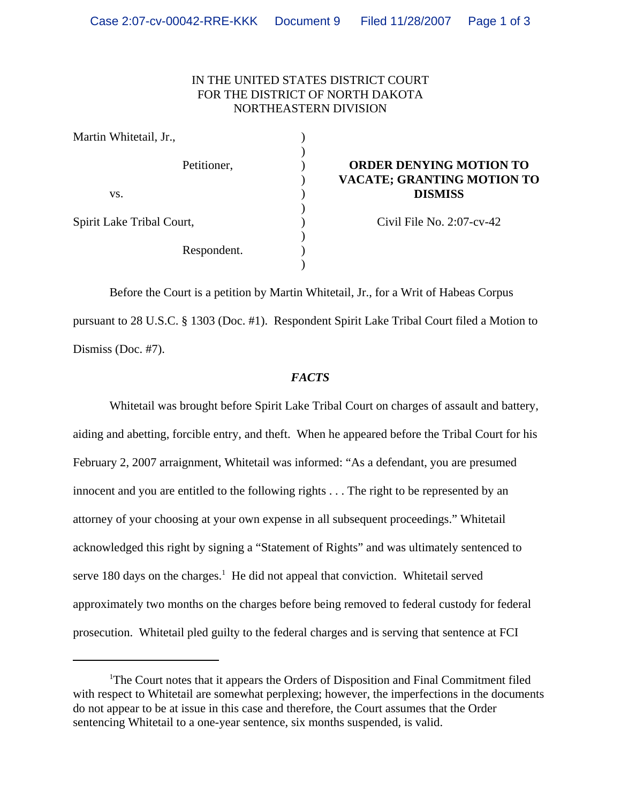# IN THE UNITED STATES DISTRICT COURT FOR THE DISTRICT OF NORTH DAKOTA NORTHEASTERN DIVISION

| Martin Whitetail, Jr.,    |                                   |
|---------------------------|-----------------------------------|
| Petitioner,               | <b>ORDER DENYING MOTION TO</b>    |
|                           | <b>VACATE; GRANTING MOTION TO</b> |
| VS.                       | <b>DISMISS</b>                    |
|                           |                                   |
| Spirit Lake Tribal Court, | Civil File No. $2:07$ -cv-42      |
| Respondent.               |                                   |
|                           |                                   |
|                           |                                   |

Before the Court is a petition by Martin Whitetail, Jr., for a Writ of Habeas Corpus pursuant to 28 U.S.C. § 1303 (Doc. #1). Respondent Spirit Lake Tribal Court filed a Motion to Dismiss (Doc. #7).

## *FACTS*

Whitetail was brought before Spirit Lake Tribal Court on charges of assault and battery, aiding and abetting, forcible entry, and theft. When he appeared before the Tribal Court for his February 2, 2007 arraignment, Whitetail was informed: "As a defendant, you are presumed innocent and you are entitled to the following rights . . . The right to be represented by an attorney of your choosing at your own expense in all subsequent proceedings." Whitetail acknowledged this right by signing a "Statement of Rights" and was ultimately sentenced to serve 180 days on the charges. $<sup>1</sup>$  He did not appeal that conviction. Whitetail served</sup> approximately two months on the charges before being removed to federal custody for federal prosecution. Whitetail pled guilty to the federal charges and is serving that sentence at FCI

<sup>&</sup>lt;sup>1</sup>The Court notes that it appears the Orders of Disposition and Final Commitment filed with respect to Whitetail are somewhat perplexing; however, the imperfections in the documents do not appear to be at issue in this case and therefore, the Court assumes that the Order sentencing Whitetail to a one-year sentence, six months suspended, is valid.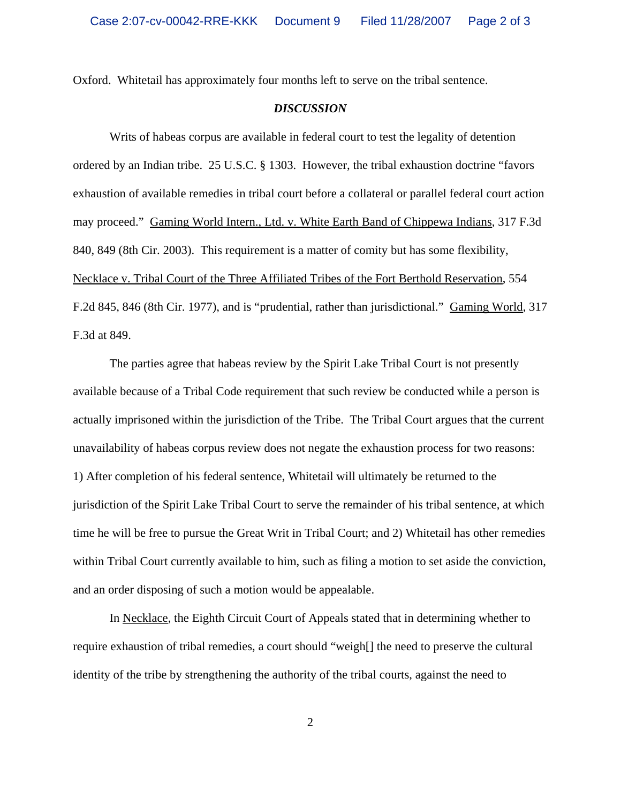Oxford. Whitetail has approximately four months left to serve on the tribal sentence.

### *DISCUSSION*

Writs of habeas corpus are available in federal court to test the legality of detention ordered by an Indian tribe. 25 U.S.C. § 1303. However, the tribal exhaustion doctrine "favors exhaustion of available remedies in tribal court before a collateral or parallel federal court action may proceed." Gaming World Intern., Ltd. v. White Earth Band of Chippewa Indians, 317 F.3d 840, 849 (8th Cir. 2003). This requirement is a matter of comity but has some flexibility, Necklace v. Tribal Court of the Three Affiliated Tribes of the Fort Berthold Reservation, 554 F.2d 845, 846 (8th Cir. 1977), and is "prudential, rather than jurisdictional." Gaming World, 317 F.3d at 849.

The parties agree that habeas review by the Spirit Lake Tribal Court is not presently available because of a Tribal Code requirement that such review be conducted while a person is actually imprisoned within the jurisdiction of the Tribe. The Tribal Court argues that the current unavailability of habeas corpus review does not negate the exhaustion process for two reasons: 1) After completion of his federal sentence, Whitetail will ultimately be returned to the jurisdiction of the Spirit Lake Tribal Court to serve the remainder of his tribal sentence, at which time he will be free to pursue the Great Writ in Tribal Court; and 2) Whitetail has other remedies within Tribal Court currently available to him, such as filing a motion to set aside the conviction, and an order disposing of such a motion would be appealable.

In Necklace, the Eighth Circuit Court of Appeals stated that in determining whether to require exhaustion of tribal remedies, a court should "weigh[] the need to preserve the cultural identity of the tribe by strengthening the authority of the tribal courts, against the need to